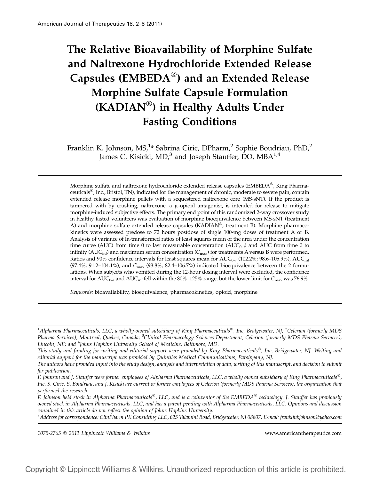# The Relative Bioavailability of Morphine Sulfate and Naltrexone Hydrochloride Extended Release Capsules (EMBEDA $^{\circledR}$ ) and an Extended Release Morphine Sulfate Capsule Formulation (KADIAN®) in Healthy Adults Under Fasting Conditions

Franklin K. Johnson, MS,<sup>1</sup>\* Sabrina Ciric, DPharm,<sup>2</sup> Sophie Boudriau, PhD,<sup>2</sup> James C. Kisicki,  $MD<sup>3</sup>$  and Joseph Stauffer, DO,  $MBA<sup>1,4</sup>$ 

Morphine sulfate and naltrexone hydrochloride extended release capsules (EMBEDA®, King Pharmaceuticals<sup>®</sup>, Inc., Bristol, TN), indicated for the management of chronic, moderate to severe pain, contain extended release morphine pellets with a sequestered naltrexone core (MS-sNT). If the product is tampered with by crushing, naltrexone, a  $\mu$ -opioid antagonist, is intended for release to mitigate morphine-induced subjective effects. The primary end point of this randomized 2-way crossover study in healthy fasted volunteers was evaluation of morphine bioequivalence between MS-sNT (treatment A) and morphine sulfate extended release capsules (KADIAN®, treatment B). Morphine pharmacokinetics were assessed predose to 72 hours postdose of single 100-mg doses of treatment A or B. Analysis of variance of ln-transformed ratios of least squares mean of the area under the concentration time curve (AUC) from time 0 to last measurable concentration ( $AUC_{0-t}$ ) and AUC from time 0 to infinity ( $AUC_{\text{inf}}$ ) and maximum serum concentration ( $C_{\text{max}}$ ) for treatments A versus B were performed. Ratios and 90% confidence intervals for least squares mean for  $AUC_{0-t}$  (102.2%; 98.6–105.9%),  $AUC_{int}$  $(97.4\%; 91.2-104.1\%)$ , and  $C_{\text{max}}$   $(93.8\%; 82.4-106.7\%)$  indicated bioequivalence between the 2 formulations. When subjects who vomited during the 12-hour dosing interval were excluded, the confidence interval for  $AUC_{0-t}$  and  $AUC_{\text{inf}}$  fell within the 80%–125% range, but the lower limit for  $C_{\text{max}}$  was 76.9%.

Keywords: bioavailability, bioequivalence, pharmacokinetics, opioid, morphine

\*Address for correspondence: ClinPharm PK Consulting LLC, 625 Talamini Road, Bridgewater, NJ 08807. E-mail: franklinkjohnson@yahoo.com

1075-2765 2011 Lippincott Williams & Wilkins www.americantherapeutics.com

 $^1$ Alpharma Pharmaceuticals, LLC, a wholly-owned subsidiary of King Pharmaceuticals®, Inc, Bridgewater, NJ; <sup>2</sup>Celerion (formerly MDS Pharma Services), Montreal, Quebec, Canada; <sup>3</sup>Clinical Pharmacology Sciences Department, Celerion (formerly MDS Pharma Services), Lincoln, NE; and <sup>4</sup>Johns Hopkins University School of Medicine, Baltimore, MD.

This study and funding for writing and editorial support were provided by King Pharmaceuticals®, Inc, Bridgewater, NJ. Writing and editorial support for the manuscript was provided by Quintiles Medical Communications, Parsippany, NJ.

The authors have provided input into the study design, analysis and interpretation of data, writing of this manuscript, and decision to submit for publication.

<sup>.&</sup>lt;br>F. Johnson and J. Stauffer were former employees of Alpharma Pharmaceuticals, LLC, a wholly owned subsidiary of King Pharmaceuticals®, Inc. S. Ciric, S. Boudriau, and J. Kisicki are current or former employees of Celerion (formerly MDS Pharma Services), the organization that performed the research.

<sup>.&</sup>lt;br>F. Johnson held stock in Alpharma Pharmaceuticals®, LLC, and is a coinventor of the EMBEDA® technology. J. Stauffer has previously owned stock in Alpharma Pharmaceuticals, LLC, and has a patent pending with Alpharma Pharmaceuticals, LLC. Opinions and discussion contained in this article do not reflect the opinion of Johns Hopkins University.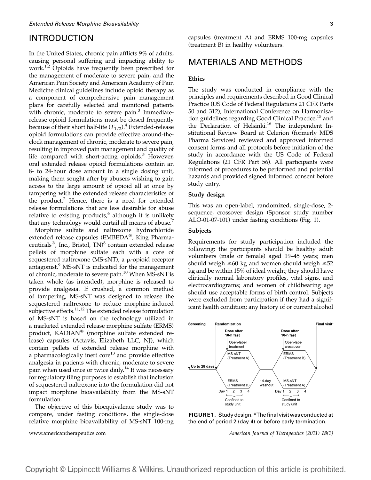### INTRODUCTION

In the United States, chronic pain afflicts 9% of adults, causing personal suffering and impacting ability to work.<sup>1,2</sup> Opioids have frequently been prescribed for the management of moderate to severe pain, and the American Pain Society and American Academy of Pain Medicine clinical guidelines include opioid therapy as a component of comprehensive pain management plans for carefully selected and monitored patients with chronic, moderate to severe pain.<sup>3</sup> Immediaterelease opioid formulations must be dosed frequently because of their short half-life  $(T_{1/2})$ .<sup>4</sup> Extended-release opioid formulations can provide effective around-theclock management of chronic, moderate to severe pain, resulting in improved pain management and quality of life compared with short-acting opioids. $5$  However, oral extended release opioid formulations contain an 8- to 24-hour dose amount in a single dosing unit, making them sought after by abusers wishing to gain access to the large amount of opioid all at once by tampering with the extended release characteristics of the product.<sup>2</sup> Hence, there is a need for extended release formulations that are less desirable for abuse relative to existing products, $6$  although it is unlikely that any technology would curtail all means of abuse.<sup>7</sup>

Morphine sulfate and naltrexone hydrochloride extended release capsules (EMBEDA®, King Pharmaceuticals<sup>®</sup>, Inc., Bristol, TN)<sup>8</sup> contain extended release pellets of morphine sulfate each with a core of sequestered naltrexone (MS-sNT), a  $\mu$ -opioid receptor antagonist.<sup>9</sup> MS-sNT is indicated for the management of chronic, moderate to severe pain.<sup>10</sup> When MS-sNT is taken whole (as intended), morphine is released to provide analgesia. If crushed, a common method of tampering, MS-sNT was designed to release the sequestered naltrexone to reduce morphine-induced subjective effects.<sup>11,12</sup> The extended release formulation of MS-sNT is based on the technology utilized in a marketed extended release morphine sulfate (ERMS) product, KADIAN® (morphine sulfate extended release) capsules (Actavis, Elizabeth LLC, NJ), which contain pellets of extended release morphine with a pharmacologically inert core<sup>13</sup> and provide effective analgesia in patients with chronic, moderate to severe pain when used once or twice daily.<sup>14</sup> It was necessary for regulatory filing purposes to establish that inclusion of sequestered naltrexone into the formulation did not impact morphine bioavailability from the MS-sNT formulation.

The objective of this bioequivalence study was to compare, under fasting conditions, the single-dose relative morphine bioavailability of MS-sNT 100-mg capsules (treatment A) and ERMS 100-mg capsules (treatment B) in healthy volunteers.

### MATERIALS AND METHODS

#### Ethics

The study was conducted in compliance with the principles and requirements described in Good Clinical Practice (US Code of Federal Regulations 21 CFR Parts 50 and 312), International Conference on Harmonisation guidelines regarding Good Clinical Practice, $15$  and the Declaration of Helsinki.<sup>16</sup> The independent Institutional Review Board at Celerion (formerly MDS Pharma Services) reviewed and approved informed consent forms and all protocols before initiation of the study in accordance with the US Code of Federal Regulations (21 CFR Part 56). All participants were informed of procedures to be performed and potential hazards and provided signed informed consent before study entry.

#### Study design

This was an open-label, randomized, single-dose, 2 sequence, crossover design (Sponsor study number ALO-01-07-101) under fasting conditions (Fig. 1).

#### Subjects

Requirements for study participation included the following: the participants should be healthy adult volunteers (male or female) aged 19–45 years; men should weigh  $\geq 60$  kg and women should weigh  $\geq 52$ kg and be within 15% of ideal weight; they should have clinically normal laboratory profiles, vital signs, and electrocardiograms; and women of childbearing age should use acceptable forms of birth control. Subjects were excluded from participation if they had a significant health condition; any history of or current alcohol



FIGURE 1. Study design. \*The final visit was conducted at the end of period 2 (day 4) or before early termination.

www.americantherapeutics.com American Journal of Therapeutics (2011) 18(1)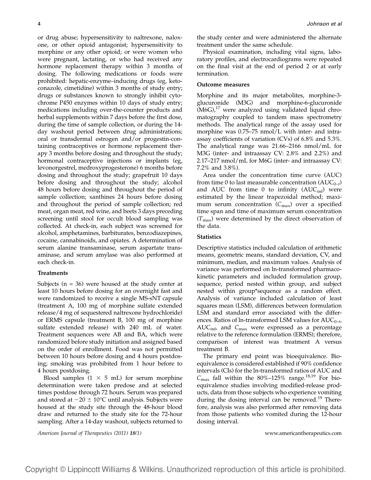or drug abuse; hypersensitivity to naltrexone, naloxone, or other opioid antagonist; hypersensitivity to morphine or any other opioid; or were women who were pregnant, lactating, or who had received any hormone replacement therapy within 3 months of dosing. The following medications or foods were prohibited: hepatic-enzyme–inducing drugs (eg, ketoconazole, cimetidine) within 3 months of study entry; drugs or substances known to strongly inhibit cytochrome P450 enzymes within 10 days of study entry; medications including over-the-counter products and herbal supplements within 7 days before the first dose, during the time of sample collection, or during the 14 day washout period between drug administrations; oral or transdermal estrogen and/or progestin-containing contraceptives or hormone replacement therapy 3 months before dosing and throughout the study; hormonal contraceptive injections or implants (eg, levonorgestrel, medroxyprogesterone) 6 months before dosing and throughout the study; grapefruit 10 days before dosing and throughout the study; alcohol 48 hours before dosing and throughout the period of sample collection; xanthines 24 hours before dosing and throughout the period of sample collection; red meat, organ meat, red wine, and beets 3 days preceding screening until stool for occult blood sampling was collected. At check-in, each subject was screened for alcohol, amphetamines, barbiturates, benzodiazepines, cocaine, cannabinoids, and opiates. A determination of serum alanine transaminase, serum aspartate transaminase, and serum amylase was also performed at each check-in.

#### Treatments

Subjects ( $n = 36$ ) were housed at the study center at least 10 hours before dosing for an overnight fast and were randomized to receive a single MS-sNT capsule (treatment A, 100 mg of morphine sulfate extended release/4 mg of sequestered naltrexone hydrochloride) or ERMS capsule (treatment B, 100 mg of morphine sulfate extended release) with 240 mL of water. Treatment sequences were AB and BA, which were randomized before study initiation and assigned based on the order of enrollment. Food was not permitted between 10 hours before dosing and 4 hours postdosing; smoking was prohibited from 1 hour before to 4 hours postdosing.

Blood samples  $(1 \times 5 \text{ mL})$  for serum morphine determination were taken predose and at selected times postdose through 72 hours. Serum was prepared and stored at  $-20 \pm 10^{\circ}$ C until analysis. Subjects were housed at the study site through the 48-hour blood draw and returned to the study site for the 72-hour sampling. After a 14-day washout, subjects returned to the study center and were administered the alternate treatment under the same schedule.

Physical examination, including vital signs, laboratory profiles, and electrocardiograms were repeated on the final visit at the end of period 2 or at early termination.

#### Outcome measures

Morphine and its major metabolites, morphine-3 glucuronide (M3G) and morphine-6-glucuronide  $(M6G)<sup>17</sup>$  were analyzed using validated liquid chromatography coupled to tandem mass spectrometry methods. The analytical range of the assay used for morphine was 0.75–75 nmol/L with inter- and intraassay coefficients of variation (CVs) of 6.8% and 5.3%. The analytical range was 21.66–2166 nmol/mL for M3G (inter- and intraassay CV: 2.8% and 2.2%) and 2.17–217 nmol/mL for M6G (inter- and intraassay CV: 7.2% and 3.8%).

Area under the concentration time curve (AUC) from time 0 to last measurable concentration  $(AUC_{0-t})$ and AUC from time 0 to infinity  $(AUC<sub>inf</sub>)$  were estimated by the linear trapezoidal method; maximum serum concentration  $(C_{\text{max}})$  over a specified time span and time of maximum serum concentration  $(T_{\text{max}})$  were determined by the direct observation of the data.

#### **Statistics**

Descriptive statistics included calculation of arithmetic means, geometric means, standard deviation, CV, and minimum, median, and maximum values. Analysis of variance was performed on ln-transformed pharmacokinetic parameters and included formulation group, sequence, period nested within group, and subject nested within group\*sequence as a random effect. Analysis of variance included calculation of least squares mean (LSM), differences between formulation LSM and standard error associated with the differences. Ratios of ln-transformed LSM values for  $AUC_{0-t}$ ,  $AUC<sub>inf</sub>$ , and  $C<sub>max</sub>$  were expressed as a percentage relative to the reference formulation (ERMS); therefore, comparison of interest was treatment A versus treatment B.

The primary end point was bioequivalence. Bioequivalence is considered established if 90% confidence intervals (CIs) for the ln-transformed ratios of AUC and  $C_{\text{max}}$  fall within the 80%–125% range.<sup>18,19</sup> For bioequivalence studies involving modified-release products, data from those subjects who experience vomiting during the dosing interval can be removed.<sup>19</sup> Therefore, analysis was also performed after removing data from those patients who vomited during the 12-hour dosing interval.

American Journal of Therapeutics (2011) 18(1) www.americantherapeutics.com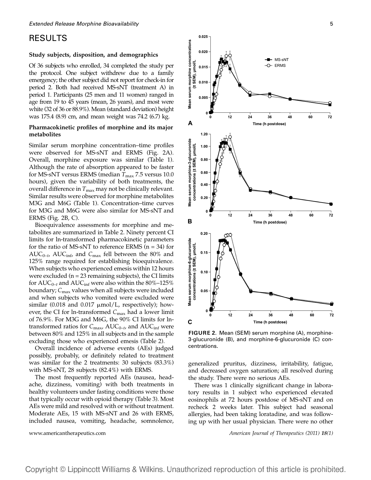### RESULTS

#### Study subjects, disposition, and demographics

Of 36 subjects who enrolled, 34 completed the study per the protocol. One subject withdrew due to a family emergency; the other subject did not report for check-in for period 2. Both had received MS-sNT (treatment A) in period 1. Participants (25 men and 11 women) ranged in age from 19 to 45 years (mean, 26 years), and most were white (32 of 36 or 88.9%). Mean (standard deviation) height was 175.4 (8.9) cm, and mean weight was 74.2 (6.7) kg.

#### Pharmacokinetic profiles of morphine and its major metabolites

Similar serum morphine concentration–time profiles were observed for MS-sNT and ERMS (Fig. 2A). Overall, morphine exposure was similar (Table 1). Although the rate of absorption appeared to be faster for MS-sNT versus ERMS (median  $T_{\text{max}}$  7.5 versus 10.0 hours), given the variability of both treatments, the overall difference in  $T_{\text{max}}$  may not be clinically relevant. Similar results were observed for morphine metabolites M3G and M6G (Table 1). Concentration–time curves for M3G and M6G were also similar for MS-sNT and ERMS (Fig. 2B, C).

Bioequivalence assessments for morphine and metabolites are summarized in Table 2. Ninety percent CI limits for ln-transformed pharmacokinetic parameters for the ratio of MS-sNT to reference ERMS ( $n = 34$ ) for  $AUC_{0-t}$ ,  $AUC_{inf}$ , and  $C_{max}$  fell between the 80% and 125% range required for establishing bioequivalence. When subjects who experienced emesis within 12 hours were excluded  $(n = 23$  remaining subjects), the CI limits for  $AUC_{0-t}$  and  $AUC_{int}$  were also within the 80%–125% boundary;  $C_{\text{max}}$  values when all subjects were included and when subjects who vomited were excluded were similar  $(0.018$  and  $0.017 \mu \text{mol/L}$ , respectively); however, the CI for ln-transformed  $C_{\text{max}}$  had a lower limit of 76.9%. For M3G and M6G, the 90% CI limits for lntransformed ratios for  $C_{\text{max}}$ , AU $C_{0-t}$ , and AU $C_{\text{inf}}$  were between 80% and 125% in all subjects and in the sample excluding those who experienced emesis (Table 2).

Overall incidence of adverse events (AEs) judged possibly, probably, or definitely related to treatment was similar for the 2 treatments: 30 subjects (83.3%) with MS-sNT, 28 subjects (82.4%) with ERMS.

The most frequently reported AEs (nausea, headache, dizziness, vomiting) with both treatments in healthy volunteers under fasting conditions were those that typically occur with opioid therapy (Table 3). Most AEs were mild and resolved with or without treatment. Moderate AEs, 15 with MS-sNT and 26 with ERMS, included nausea, vomiting, headache, somnolence,



FIGURE 2. Mean (SEM) serum morphine (A), morphine-3-glucuronide (B), and morphine-6-glucuronide (C) concentrations.

generalized pruritus, dizziness, irritability, fatigue, and decreased oxygen saturation; all resolved during the study. There were no serious AEs.

There was 1 clinically significant change in laboratory results in 1 subject who experienced elevated eosinophils at 72 hours postdose of MS-sNT and on recheck 2 weeks later. This subject had seasonal allergies, had been taking loratadine, and was following up with her usual physician. There were no other

www.americantherapeutics.com American Journal of Therapeutics (2011) 18(1)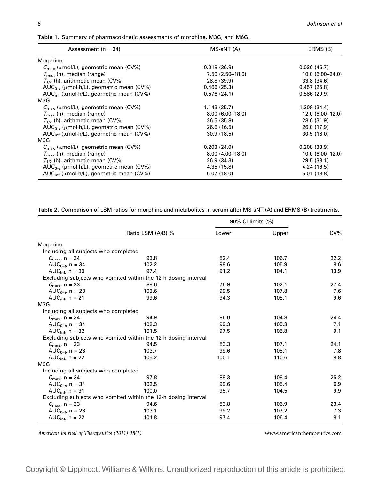Table 1. Summary of pharmacokinetic assessments of morphine, M3G, and M6G.

| Assessment $(n = 34)$                                     | MS-sNT (A)        | ERMS (B)            |
|-----------------------------------------------------------|-------------------|---------------------|
| Morphine                                                  |                   |                     |
| $C_{\text{max}}$ ( $\mu$ mol/L), geometric mean (CV%)     | 0.018(36.8)       | 0.020(45.7)         |
| $T_{\rm max}$ (h), median (range)                         | $7.50(2.50-18.0)$ | $10.0(6.00 - 24.0)$ |
| $T_{1/2}$ (h), arithmetic mean (CV%)                      | 28.8 (39.9)       | 33.8 (34.6)         |
| $AUC_{0-t}$ ( $\mu$ mol·h/L), geometric mean (CV%)        | 0.466(25.3)       | 0.457(25.8)         |
| AUC <sub>inf</sub> (µmol·h/L), geometric mean (CV%)       | 0.576(24.1)       | 0.586(29.9)         |
| M3G                                                       |                   |                     |
| $C_{\text{max}}$ ( $\mu$ mol/L), geometric mean (CV%)     | 1.143(25.7)       | 1.208(34.4)         |
| $T_{\rm max}$ (h), median (range)                         | $8.00(6.00-18.0)$ | $12.0(6.00-12.0)$   |
| $T_{1/2}$ (h), arithmetic mean (CV%)                      | 26.5 (35.8)       | 28.6 (31.9)         |
| $AUC_{0-r}$ ( $\mu$ mol·h/L), geometric mean (CV%)        | 26.6 (16.5)       | 26.0 (17.9)         |
| $AUC_{\text{inf}}$ ( $\mu$ mol·h/L), geometric mean (CV%) | 30.9(18.5)        | 30.5(18.0)          |
| M6G                                                       |                   |                     |
| $C_{\text{max}}$ ( $\mu$ mol/L), geometric mean (CV%)     | 0.203(24.0)       | 0.208(33.9)         |
| $T_{\rm max}$ (h), median (range)                         | $8.00(4.00-18.0)$ | $10.0(6.00-12.0)$   |
| $T_{1/2}$ (h), arithmetic mean (CV%)                      | 26.9(34.3)        | 29.5(38.1)          |
| $AUC_{0-t}$ ( $\mu$ mol·h/L), geometric mean (CV%)        | 4.35 (15.8)       | 4.24 (16.5)         |
| AUC <sub>inf</sub> (µmol·h/L), geometric mean (CV%)       | 5.07(18.0)        | 5.01(18.8)          |

Table 2. Comparison of LSM ratios for morphine and metabolites in serum after MS-sNT (A) and ERMS (B) treatments.

|                                      |                                                                |       | 90% CI limits (%) |        |
|--------------------------------------|----------------------------------------------------------------|-------|-------------------|--------|
|                                      | Ratio LSM (A/B) %                                              | Lower | Upper             | $CV\%$ |
| Morphine                             |                                                                |       |                   |        |
| Including all subjects who completed |                                                                |       |                   |        |
| $C_{\text{max}}$ , n = 34            | 93.8                                                           | 82.4  | 106.7             | 32.2   |
| AUC <sub>0-tr</sub> $n = 34$         | 102.2                                                          | 98.6  | 105.9             | 8.6    |
| AUC <sub>inf</sub> , $n = 30$        | 97.4                                                           | 91.2  | 104.1             | 13.9   |
|                                      | Excluding subjects who vomited within the 12-h dosing interval |       |                   |        |
| $C_{\text{max}}$ , n = 23            | 88.6                                                           | 76.9  | 102.1             | 27.4   |
| AUC <sub>0-t</sub> , $n = 23$        | 103.6                                                          | 99.5  | 107.8             | 7.6    |
| AUC $_{\text{inf}}$ , n = 21         | 99.6                                                           | 94.3  | 105.1             | 9.6    |
| M3G                                  |                                                                |       |                   |        |
| Including all subjects who completed |                                                                |       |                   |        |
| $C_{\text{max}}$ , n = 34            | 94.9                                                           | 86.0  | 104.8             | 24.4   |
| AUC <sub>0-tr</sub> $n = 34$         | 102.3                                                          | 99.3  | 105.3             | 7.1    |
| AUC <sub>inf</sub> , $n = 32$        | 101.5                                                          | 97.5  | 105.8             | 9.1    |
|                                      | Excluding subjects who vomited within the 12-h dosing interval |       |                   |        |
| $C_{\text{max}}$ , n = 23            | 94.5                                                           | 83.3  | 107.1             | 24.1   |
| AUC <sub>0-tr</sub> $n = 23$         | 103.7                                                          | 99.6  | 108.1             | 7.8    |
| AUC $_{\text{inf}}$ , n = 22         | 105.2                                                          | 100.1 | 110.6             | 8.8    |
| M6G                                  |                                                                |       |                   |        |
| Including all subjects who completed |                                                                |       |                   |        |
| $C_{\text{max}}$ , n = 34            | 97.8                                                           | 88.3  | 108.4             | 25.2   |
| AUC <sub>0-tr</sub> $n = 34$         | 102.5                                                          | 99.6  | 105.4             | 6.9    |
| AUC <sub>inf</sub> , $n = 31$        | 100.0                                                          | 95.7  | 104.5             | 9.9    |
|                                      | Excluding subjects who vomited within the 12-h dosing interval |       |                   |        |
| $C_{\text{max}}$ , n = 23            | 94.6                                                           | 83.8  | 106.9             | 23.4   |
| AUC <sub>0-tr</sub> $n = 23$         | 103.1                                                          | 99.2  | 107.2             | 7.3    |
| AUC <sub>inf</sub> , $n = 22$        | 101.8                                                          | 97.4  | 106.4             | 8.1    |

American Journal of Therapeutics (2011) 18(1) www.americantherapeutics.com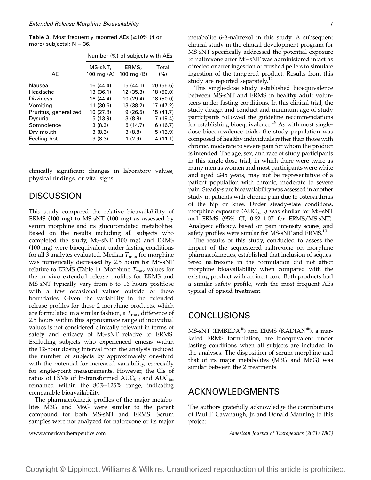Table 3. Most frequently reported AEs  $[ \geq 10\%$  (4 or more) subjects];  $N = 36$ .

|                       | Number (%) of subjects with AEs |                       |              |  |
|-----------------------|---------------------------------|-----------------------|--------------|--|
| AE                    | MS-sNT,<br>100 mg $(A)$         | ERMS,<br>100 mg $(B)$ | Total<br>(%) |  |
| Nausea                | 16 (44.4)                       | 15(44.1)              | 20(55.6)     |  |
| Headache              | 13(36.1)                        | 12(35.3)              | 18 (50.0)    |  |
| <b>Dizziness</b>      | 16 (44.4)                       | 10 (29.4)             | 18 (50.0)    |  |
| Vomiting              | 11 (30.6)                       | 13 (38.2)             | 17(47.2)     |  |
| Pruritus, generalized | 10 (27.8)                       | 9(26.5)               | 15 (41.7)    |  |
| Dysuria               | 5(13.9)                         | 3(8.8)                | 7(19.4)      |  |
| Somnolence            | 3(8.3)                          | 5(14.7)               | 6(16.7)      |  |
| Dry mouth             | 3(8.3)                          | 3(8.8)                | 5(13.9)      |  |
| Feeling hot           | 3(8.3)                          | 1(2.9)                | 4(11.1)      |  |

clinically significant changes in laboratory values, physical findings, or vital signs.

### **DISCUSSION**

This study compared the relative bioavailability of ERMS (100 mg) to MS-sNT (100 mg) as assessed by serum morphine and its glucuronidated metabolites. Based on the results including all subjects who completed the study, MS-sNT (100 mg) and ERMS (100 mg) were bioequivalent under fasting conditions for all 3 analytes evaluated. Median  $T_{\text{max}}$  for morphine was numerically decreased by 2.5 hours for MS-sNT relative to ERMS (Table 1). Morphine  $T_{\text{max}}$  values for the in vivo extended release profiles for ERMS and MS-sNT typically vary from 6 to 16 hours postdose with a few occasional values outside of these boundaries. Given the variability in the extended release profiles for these 2 morphine products, which are formulated in a similar fashion, a  $T_{\text{max}}$  difference of 2.5 hours within this approximate range of individual values is not considered clinically relevant in terms of safety and efficacy of MS-sNT relative to ERMS. Excluding subjects who experienced emesis within the 12-hour dosing interval from the analysis reduced the number of subjects by approximately one-third with the potential for increased variability, especially for single-point measurements. However, the CIs of ratios of LSMs of ln-transformed  $AUC_{0-t}$  and  $AUC_{\text{inf}}$ remained within the 80%–125% range, indicating comparable bioavailability.

The pharmacokinetic profiles of the major metabolites M3G and M6G were similar to the parent compound for both MS-sNT and ERMS. Serum samples were not analyzed for naltrexone or its major metabolite  $6-\beta$ -naltrexol in this study. A subsequent clinical study in the clinical development program for MS-sNT specifically addressed the potential exposure to naltrexone after MS-sNT was administered intact as directed or after ingestion of crushed pellets to simulate ingestion of the tampered product. Results from this study are reported separately. $12$ 

This single-dose study established bioequivalence between MS-sNT and ERMS in healthy adult volunteers under fasting conditions. In this clinical trial, the study design and conduct and minimum age of study participants followed the guideline recommendations for establishing bioequivalence.<sup>19</sup> As with most singledose bioequivalence trials, the study population was composed of healthy individuals rather than those with chronic, moderate to severe pain for whom the product is intended. The age, sex, and race of study participants in this single-dose trial, in which there were twice as many men as women and most participants were white and aged  $\leq 45$  years, may not be representative of a patient population with chronic, moderate to severe pain. Steady-state bioavailability was assessed in another study in patients with chronic pain due to osteoarthritis of the hip or knee. Under steady-state conditions, morphine exposure  $(AUC_{0-12})$  was similar for MS-sNT and ERMS (95% CI, 0.82–1.07 for ERMS/MS-sNT). Analgesic efficacy, based on pain intensity scores, and safety profiles were similar for MS-sNT and ERMS.<sup>10</sup>

The results of this study, conducted to assess the impact of the sequestered naltrexone on morphine pharmacokinetics, established that inclusion of sequestered naltrexone in the formulation did not affect morphine bioavailability when compared with the existing product with an inert core. Both products had a similar safety profile, with the most frequent AEs typical of opioid treatment.

### CONCLUSIONS

MS-sNT (EMBEDA®) and ERMS (KADIAN®), a marketed ERMS formulation, are bioequivalent under fasting conditions when all subjects are included in the analyses. The disposition of serum morphine and that of its major metabolites (M3G and M6G) was similar between the 2 treatments.

### ACKNOWLEDGMENTS

The authors gratefully acknowledge the contributions of Paul F. Cavanaugh, Jr, and Donald Manning to this project.

www.americantherapeutics.com American Journal of Therapeutics (2011) 18(1)

Copyright © Lippincott Williams & Wilkins. Unauthorized reproduction of this article is prohibited.